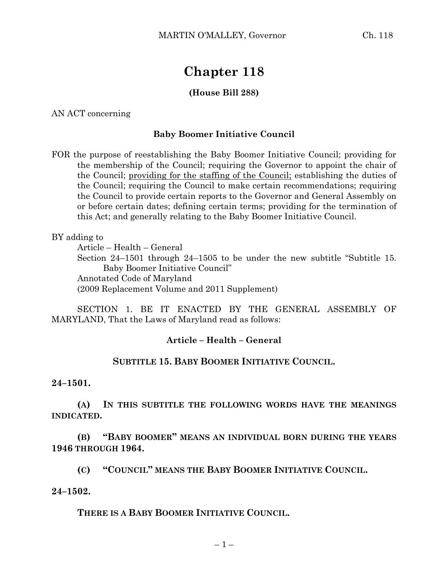# **Chapter 118**

## **(House Bill 288)**

AN ACT concerning

#### **Baby Boomer Initiative Council**

FOR the purpose of reestablishing the Baby Boomer Initiative Council; providing for the membership of the Council; requiring the Governor to appoint the chair of the Council; providing for the staffing of the Council; establishing the duties of the Council; requiring the Council to make certain recommendations; requiring the Council to provide certain reports to the Governor and General Assembly on or before certain dates; defining certain terms; providing for the termination of this Act; and generally relating to the Baby Boomer Initiative Council.

BY adding to

Article – Health – General

Section 24–1501 through 24–1505 to be under the new subtitle "Subtitle 15. Baby Boomer Initiative Council"

Annotated Code of Maryland

(2009 Replacement Volume and 2011 Supplement)

SECTION 1. BE IT ENACTED BY THE GENERAL ASSEMBLY OF MARYLAND, That the Laws of Maryland read as follows:

### **Article – Health – General**

### **SUBTITLE 15. BABY BOOMER INITIATIVE COUNCIL.**

**24–1501.**

**(A) IN THIS SUBTITLE THE FOLLOWING WORDS HAVE THE MEANINGS INDICATED.**

**(B) "BABY BOOMER" MEANS AN INDIVIDUAL BORN DURING THE YEARS 1946 THROUGH 1964.**

**(C) "COUNCIL" MEANS THE BABY BOOMER INITIATIVE COUNCIL.**

#### **24–1502.**

**THERE IS A BABY BOOMER INITIATIVE COUNCIL.**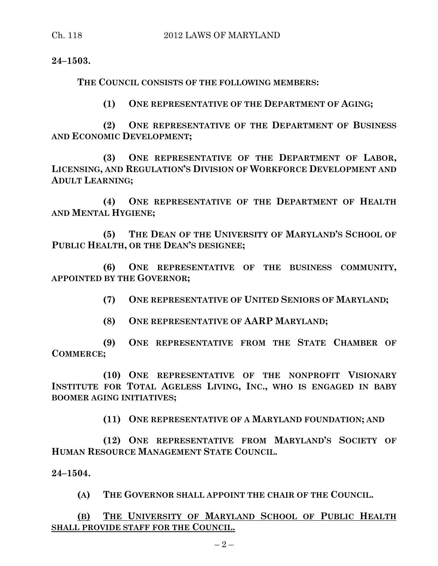**24–1503.**

**THE COUNCIL CONSISTS OF THE FOLLOWING MEMBERS:**

**(1) ONE REPRESENTATIVE OF THE DEPARTMENT OF AGING;**

**(2) ONE REPRESENTATIVE OF THE DEPARTMENT OF BUSINESS AND ECONOMIC DEVELOPMENT;**

**(3) ONE REPRESENTATIVE OF THE DEPARTMENT OF LABOR, LICENSING, AND REGULATION'S DIVISION OF WORKFORCE DEVELOPMENT AND ADULT LEARNING;**

**(4) ONE REPRESENTATIVE OF THE DEPARTMENT OF HEALTH AND MENTAL HYGIENE;**

**(5) THE DEAN OF THE UNIVERSITY OF MARYLAND'S SCHOOL OF PUBLIC HEALTH, OR THE DEAN'S DESIGNEE;**

**(6) ONE REPRESENTATIVE OF THE BUSINESS COMMUNITY, APPOINTED BY THE GOVERNOR;**

**(7) ONE REPRESENTATIVE OF UNITED SENIORS OF MARYLAND;**

**(8) ONE REPRESENTATIVE OF AARP MARYLAND;**

**(9) ONE REPRESENTATIVE FROM THE STATE CHAMBER OF COMMERCE;**

**(10) ONE REPRESENTATIVE OF THE NONPROFIT VISIONARY INSTITUTE FOR TOTAL AGELESS LIVING, INC., WHO IS ENGAGED IN BABY BOOMER AGING INITIATIVES;**

**(11) ONE REPRESENTATIVE OF A MARYLAND FOUNDATION; AND**

**(12) ONE REPRESENTATIVE FROM MARYLAND'S SOCIETY OF HUMAN RESOURCE MANAGEMENT STATE COUNCIL.**

**24–1504.**

**(A) THE GOVERNOR SHALL APPOINT THE CHAIR OF THE COUNCIL.**

**(B) THE UNIVERSITY OF MARYLAND SCHOOL OF PUBLIC HEALTH SHALL PROVIDE STAFF FOR THE COUNCIL.**